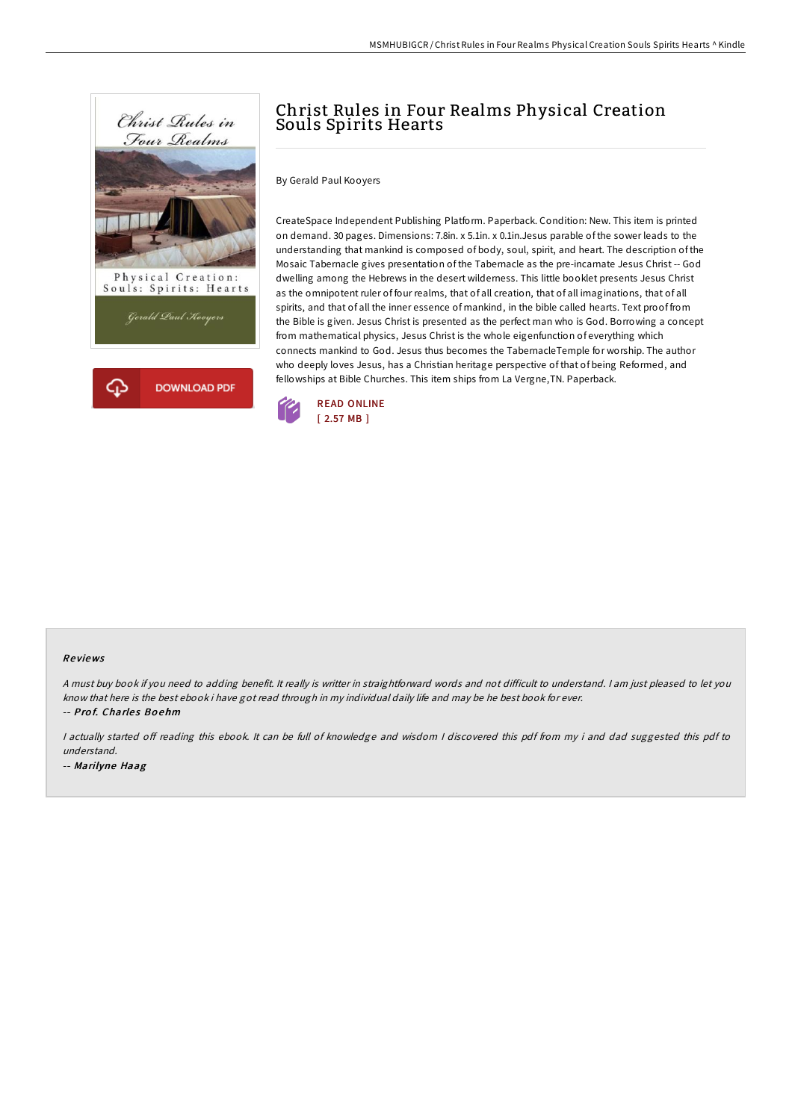



# Christ Rules in Four Realms Physical Creation Souls Spirits Hearts

By Gerald Paul Kooyers

CreateSpace Independent Publishing Platform. Paperback. Condition: New. This item is printed on demand. 30 pages. Dimensions: 7.8in. x 5.1in. x 0.1in.Jesus parable of the sower leads to the understanding that mankind is composed of body, soul, spirit, and heart. The description of the Mosaic Tabernacle gives presentation of the Tabernacle as the pre-incarnate Jesus Christ -- God dwelling among the Hebrews in the desert wilderness. This little booklet presents Jesus Christ as the omnipotent ruler of four realms, that of all creation, that of all imaginations, that of all spirits, and that of all the inner essence of mankind, in the bible called hearts. Text proof from the Bible is given. Jesus Christ is presented as the perfect man who is God. Borrowing a concept from mathematical physics, Jesus Christ is the whole eigenfunction of everything which connects mankind to God. Jesus thus becomes the TabernacleTemple for worship. The author who deeply loves Jesus, has a Christian heritage perspective of that of being Reformed, and fellowships at Bible Churches. This item ships from La Vergne,TN. Paperback.



### Re views

A must buy book if you need to adding benefit. It really is writter in straightforward words and not difficult to understand. I am just pleased to let you know that here is the best ebook i have got read through in my individual daily life and may be he best book for ever. -- Prof. Charles Boehm

I actually started off reading this ebook. It can be full of knowledge and wisdom I discovered this pdf from my i and dad suggested this pdf to understand.

-- Marilyne Haag